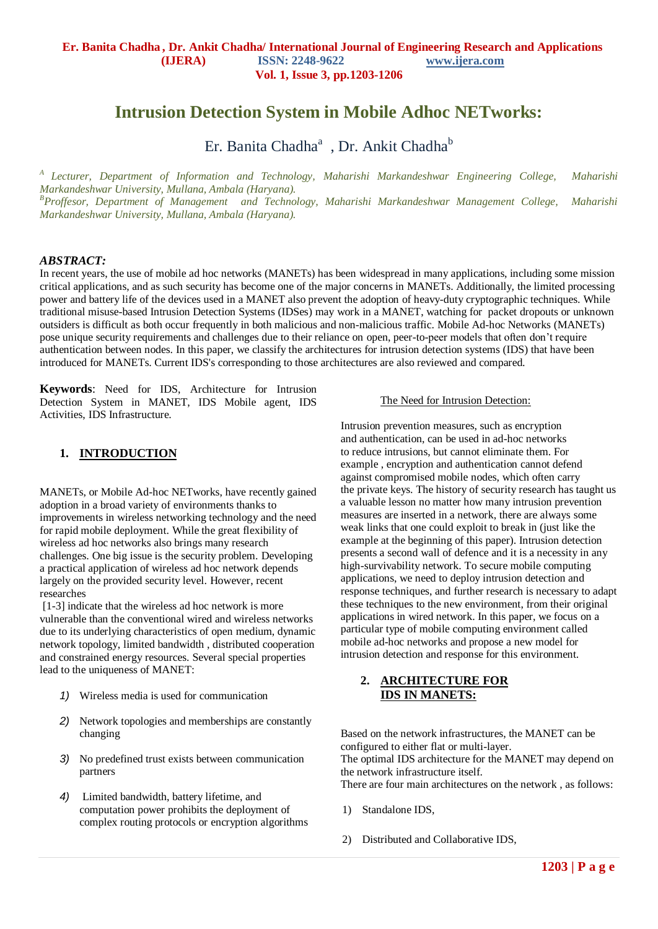# **Intrusion Detection System in Mobile Adhoc NETworks:**

Er. Banita Chadha<sup>a</sup>, Dr. Ankit Chadha<sup>b</sup>

*A Lecturer, Department of Information and Technology, Maharishi Markandeshwar Engineering College, Maharishi Markandeshwar University, Mullana, Ambala (Haryana). <sup>B</sup>Proffesor, Department of Management and Technology, Maharishi Markandeshwar Management College, Maharishi Markandeshwar University, Mullana, Ambala (Haryana).*

#### *ABSTRACT:*

In recent years, the use of mobile ad hoc networks (MANETs) has been widespread in many applications, including some mission critical applications, and as such security has become one of the major concerns in MANETs. Additionally, the limited processing power and battery life of the devices used in a MANET also prevent the adoption of heavy-duty cryptographic techniques. While traditional misuse-based Intrusion Detection Systems (IDSes) may work in a MANET, watching for packet dropouts or unknown outsiders is difficult as both occur frequently in both malicious and non-malicious traffic. Mobile Ad-hoc Networks (MANETs) pose unique security requirements and challenges due to their reliance on open, peer-to-peer models that often don't require authentication between nodes. In this paper, we classify the architectures for intrusion detection systems (IDS) that have been introduced for MANETs. Current IDS's corresponding to those architectures are also reviewed and compared.

**Keywords**: Need for IDS, Architecture for Intrusion Detection System in MANET, IDS Mobile agent, IDS Activities, IDS Infrastructure.

### **1. INTRODUCTION**

MANETs, or Mobile Ad-hoc NETworks, have recently gained adoption in a broad variety of environments thanks to improvements in wireless networking technology and the need for rapid mobile deployment. While the great flexibility of wireless ad hoc networks also brings many research challenges. One big issue is the security problem. Developing a practical application of wireless ad hoc network depends largely on the provided security level. However, recent researches

[1-3] indicate that the wireless ad hoc network is more vulnerable than the conventional wired and wireless networks due to its underlying characteristics of open medium, dynamic network topology, limited bandwidth , distributed cooperation and constrained energy resources. Several special properties lead to the uniqueness of MANET:

- *1)* Wireless media is used for communication
- *2)* Network topologies and memberships are constantly changing
- *3)* No predefined trust exists between communication partners
- *4)* Limited bandwidth, battery lifetime, and computation power prohibits the deployment of complex routing protocols or encryption algorithms

#### The Need for Intrusion Detection:

Intrusion prevention measures, such as encryption and authentication, can be used in ad-hoc networks to reduce intrusions, but cannot eliminate them. For example , encryption and authentication cannot defend against compromised mobile nodes, which often carry the private keys. The history of security research has taught us a valuable lesson no matter how many intrusion prevention measures are inserted in a network, there are always some weak links that one could exploit to break in (just like the example at the beginning of this paper). Intrusion detection presents a second wall of defence and it is a necessity in any high-survivability network. To secure mobile computing applications, we need to deploy intrusion detection and response techniques, and further research is necessary to adapt these techniques to the new environment, from their original applications in wired network. In this paper, we focus on a particular type of mobile computing environment called mobile ad-hoc networks and propose a new model for intrusion detection and response for this environment.

#### **2. ARCHITECTURE FOR IDS IN MANETS:**

Based on the network infrastructures, the MANET can be configured to either flat or multi-layer. The optimal IDS architecture for the MANET may depend on the network infrastructure itself. There are four main architectures on the network , as follows:

- 1) Standalone IDS,
- 2) Distributed and Collaborative IDS,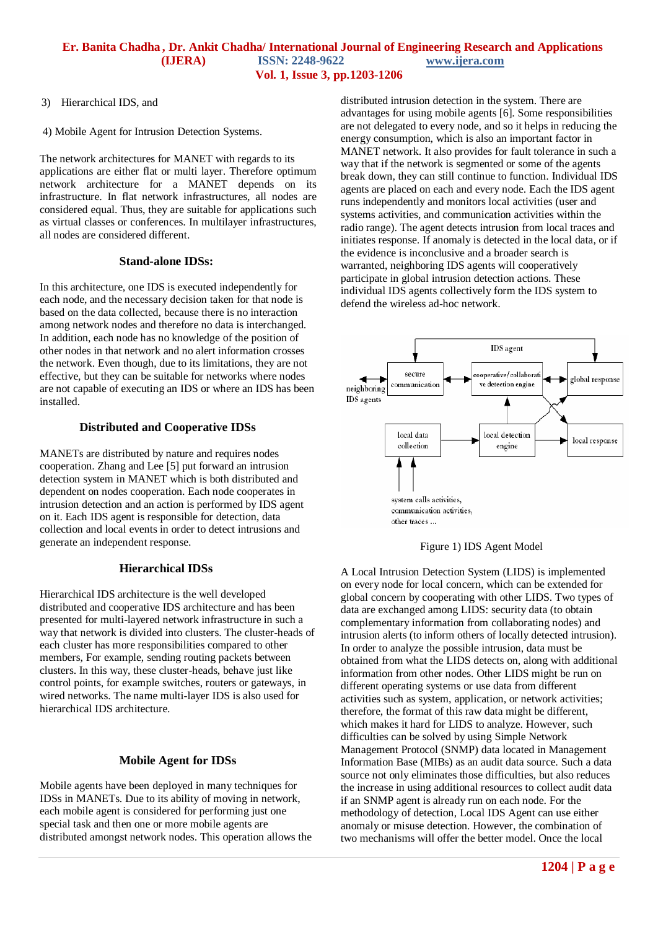#### **Er. Banita Chadha , Dr. Ankit Chadha/ International Journal of Engineering Research and Applications (IJERA) ISSN: 2248-9622 www.ijera.com Vol. 1, Issue 3, pp.1203-1206**

- 3) Hierarchical IDS, and
- 4) Mobile Agent for Intrusion Detection Systems.

The network architectures for MANET with regards to its applications are either flat or multi layer. Therefore optimum network architecture for a MANET depends on its infrastructure. In flat network infrastructures, all nodes are considered equal. Thus, they are suitable for applications such as virtual classes or conferences. In multilayer infrastructures, all nodes are considered different.

#### **Stand-alone IDSs:**

In this architecture, one IDS is executed independently for each node, and the necessary decision taken for that node is based on the data collected, because there is no interaction among network nodes and therefore no data is interchanged. In addition, each node has no knowledge of the position of other nodes in that network and no alert information crosses the network. Even though, due to its limitations, they are not effective, but they can be suitable for networks where nodes are not capable of executing an IDS or where an IDS has been installed.

#### **Distributed and Cooperative IDSs**

MANETs are distributed by nature and requires nodes cooperation. Zhang and Lee [5] put forward an intrusion detection system in MANET which is both distributed and dependent on nodes cooperation. Each node cooperates in intrusion detection and an action is performed by IDS agent on it. Each IDS agent is responsible for detection, data collection and local events in order to detect intrusions and generate an independent response.

## **Hierarchical IDSs**

Hierarchical IDS architecture is the well developed distributed and cooperative IDS architecture and has been presented for multi-layered network infrastructure in such a way that network is divided into clusters. The cluster-heads of each cluster has more responsibilities compared to other members, For example, sending routing packets between clusters. In this way, these cluster-heads, behave just like control points, for example switches, routers or gateways, in wired networks. The name multi-layer IDS is also used for hierarchical IDS architecture.

#### **Mobile Agent for IDSs**

Mobile agents have been deployed in many techniques for IDSs in MANETs. Due to its ability of moving in network, each mobile agent is considered for performing just one special task and then one or more mobile agents are distributed amongst network nodes. This operation allows the distributed intrusion detection in the system. There are advantages for using mobile agents [6]. Some responsibilities are not delegated to every node, and so it helps in reducing the energy consumption, which is also an important factor in MANET network. It also provides for fault tolerance in such a way that if the network is segmented or some of the agents break down, they can still continue to function. Individual IDS agents are placed on each and every node. Each the IDS agent runs independently and monitors local activities (user and systems activities, and communication activities within the radio range). The agent detects intrusion from local traces and initiates response. If anomaly is detected in the local data, or if the evidence is inconclusive and a broader search is warranted, neighboring IDS agents will cooperatively participate in global intrusion detection actions. These individual IDS agents collectively form the IDS system to defend the wireless ad-hoc network.



Figure 1) IDS Agent Model

A Local Intrusion Detection System (LIDS) is implemented on every node for local concern, which can be extended for global concern by cooperating with other LIDS. Two types of data are exchanged among LIDS: security data (to obtain complementary information from collaborating nodes) and intrusion alerts (to inform others of locally detected intrusion). In order to analyze the possible intrusion, data must be obtained from what the LIDS detects on, along with additional information from other nodes. Other LIDS might be run on different operating systems or use data from different activities such as system, application, or network activities; therefore, the format of this raw data might be different, which makes it hard for LIDS to analyze. However, such difficulties can be solved by using Simple Network Management Protocol (SNMP) data located in Management Information Base (MIBs) as an audit data source. Such a data source not only eliminates those difficulties, but also reduces the increase in using additional resources to collect audit data if an SNMP agent is already run on each node. For the methodology of detection, Local IDS Agent can use either anomaly or misuse detection. However, the combination of two mechanisms will offer the better model. Once the local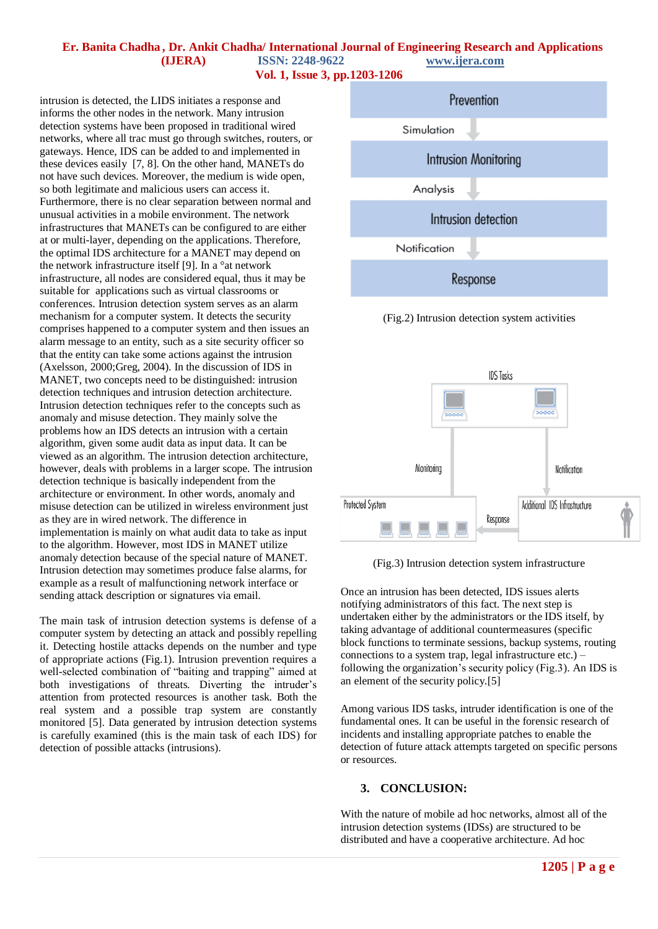#### **Er. Banita Chadha , Dr. Ankit Chadha/ International Journal of Engineering Research and Applications (IJERA) ISSN: 2248-9622 www.ijera.com Vol. 1, Issue 3, pp.1203-1206**

intrusion is detected, the LIDS initiates a response and informs the other nodes in the network. Many intrusion detection systems have been proposed in traditional wired networks, where all trac must go through switches, routers, or gateways. Hence, IDS can be added to and implemented in these devices easily [7, 8]. On the other hand, MANETs do not have such devices. Moreover, the medium is wide open, so both legitimate and malicious users can access it. Furthermore, there is no clear separation between normal and unusual activities in a mobile environment. The network infrastructures that MANETs can be configured to are either at or multi-layer, depending on the applications. Therefore, the optimal IDS architecture for a MANET may depend on the network infrastructure itself [9]. In a °at network infrastructure, all nodes are considered equal, thus it may be suitable for applications such as virtual classrooms or conferences. Intrusion detection system serves as an alarm mechanism for a computer system. It detects the security comprises happened to a computer system and then issues an alarm message to an entity, such as a site security officer so that the entity can take some actions against the intrusion (Axelsson, 2000;Greg, 2004). In the discussion of IDS in MANET, two concepts need to be distinguished: intrusion detection techniques and intrusion detection architecture. Intrusion detection techniques refer to the concepts such as anomaly and misuse detection. They mainly solve the problems how an IDS detects an intrusion with a certain algorithm, given some audit data as input data. It can be viewed as an algorithm. The intrusion detection architecture, however, deals with problems in a larger scope. The intrusion detection technique is basically independent from the architecture or environment. In other words, anomaly and misuse detection can be utilized in wireless environment just as they are in wired network. The difference in implementation is mainly on what audit data to take as input to the algorithm. However, most IDS in MANET utilize anomaly detection because of the special nature of MANET. Intrusion detection may sometimes produce false alarms, for example as a result of malfunctioning network interface or sending attack description or signatures via email.

The main task of intrusion detection systems is defense of a computer system by detecting an attack and possibly repelling it. Detecting hostile attacks depends on the number and type of appropriate actions (Fig.1). Intrusion prevention requires a well-selected combination of "baiting and trapping" aimed at both investigations of threats. Diverting the intruder's attention from protected resources is another task. Both the real system and a possible trap system are constantly monitored [5]. Data generated by intrusion detection systems is carefully examined (this is the main task of each IDS) for detection of possible attacks (intrusions).



(Fig.3) Intrusion detection system infrastructure

Once an intrusion has been detected, IDS issues alerts notifying administrators of this fact. The next step is undertaken either by the administrators or the IDS itself, by taking advantage of additional countermeasures (specific block functions to terminate sessions, backup systems, routing connections to a system trap, legal infrastructure etc.) – following the organization's security policy (Fig.3). An IDS is an element of the security policy.[5]

Among various IDS tasks, intruder identification is one of the fundamental ones. It can be useful in the forensic research of incidents and installing appropriate patches to enable the detection of future attack attempts targeted on specific persons or resources.

#### **3. CONCLUSION:**

With the nature of mobile ad hoc networks, almost all of the intrusion detection systems (IDSs) are structured to be distributed and have a cooperative architecture. Ad hoc